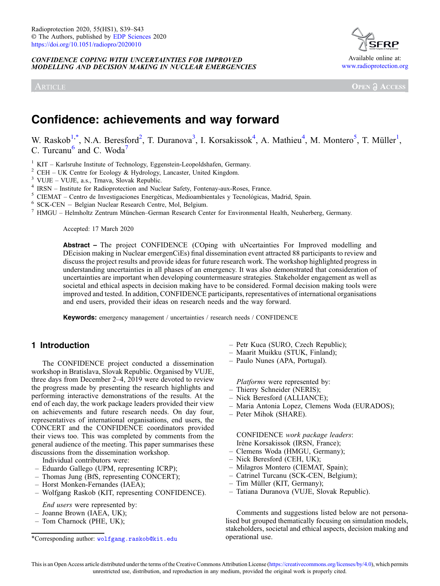CONFIDENCE COPING WITH UNCERTAINTIES FOR IMPROVED MODELLING AND DECISION MAKING IN NUCLEAR EMERGENCIES

ARTICLE



**OPEN A ACCESS** 

# Confidence: achievements and way forward

W. Raskob<sup>1,\*</sup>, N.A. Beresford<sup>2</sup>, T. Duranova<sup>3</sup>, I. Korsakissok<sup>4</sup>, A. Mathieu<sup>4</sup>, M. Montero<sup>5</sup>, T. Müller<sup>1</sup>, C. Turcanu $<sup>6</sup>$  and C. Woda<sup>7</sup></sup>

<sup>1</sup> KIT – Karlsruhe Institute of Technology, Eggenstein-Leopoldshafen, Germany.<br>
<sup>2</sup> CEH – UK Centre for Ecology & Hydrology, Lancaster, United Kingdom.<br>
<sup>3</sup> VUJE – VUJE, a.s., Trnava, Slovak Republic.<br>
<sup>4</sup> IRSN – Institu

Accepted: 17 March 2020

Abstract – The project CONFIDENCE (COping with uNcertainties For Improved modelling and DEcision making in Nuclear emergenCiEs) final dissemination event attracted 88 participants to review and discuss the project results and provide ideas for future research work. The workshop highlighted progress in understanding uncertainties in all phases of an emergency. It was also demonstrated that consideration of uncertainties are important when developing countermeasure strategies. Stakeholder engagement as well as societal and ethical aspects in decision making have to be considered. Formal decision making tools were improved and tested. In addition, CONFIDENCE participants, representatives of international organisations and end users, provided their ideas on research needs and the way forward.

Keywords: emergency management / uncertainties / research needs / CONFIDENCE

# 1 Introduction

The CONFIDENCE project conducted a dissemination workshop in Bratislava, Slovak Republic. Organised by VUJE, three days from December 2–4, 2019 were devoted to review the progress made by presenting the research highlights and performing interactive demonstrations of the results. At the end of each day, the work package leaders provided their view on achievements and future research needs. On day four, representatives of international organisations, end users, the CONCERT and the CONFIDENCE coordinators provided their views too. This was completed by comments from the general audience of the meeting. This paper summarises these discussions from the dissemination workshop.

Individual contributors were:

- Eduardo Gallego (UPM, representing ICRP);
- Thomas Jung (BfS, representing CONCERT);
- Horst Monken-Fernandes (IAEA);
- Wolfgang Raskob (KIT, representing CONFIDENCE).

End users were represented by:

- Joanne Brown (IAEA, UK);
- Tom Charnock (PHE, UK);
- Petr Kuca (SURO, Czech Republic);
- Maarit Muikku (STUK, Finland);
- Paulo Nunes (APA, Portugal).

Platforms were represented by:

- Thierry Schneider (NERIS);
- Nick Beresford (ALLIANCE);
- Maria Antonia Lopez, Clemens Woda (EURADOS);
- Peter Mihok (SHARE).

CONFIDENCE work package leaders: Irène Korsakissok (IRSN, France);

- Clemens Woda (HMGU, Germany);
- Nick Beresford (CEH, UK);
- Milagros Montero (CIEMAT, Spain);
- Catrinel Turcanu (SCK-CEN, Belgium);
- Tim Müller (KIT, Germany);
- Tatiana Duranova (VUJE, Slovak Republic).

Comments and suggestions listed below are not personalised but grouped thematically focusing on simulation models, stakeholders, societal and ethical aspects, decision making and

<sup>\*</sup>Corresponding author: [wolfgang.raskob@kit.edu](mailto:wolfgang.raskob@kit.edu) operational use.

This is an Open Access article distributed under the terms of the Creative Commons Attribution License ([https://creativecommons.org/licenses/by/4.0\)](https://creativecommons.org/licenses/by/4.0), which permits unrestricted use, distribution, and reproduction in any medium, provided the original work is properly cited.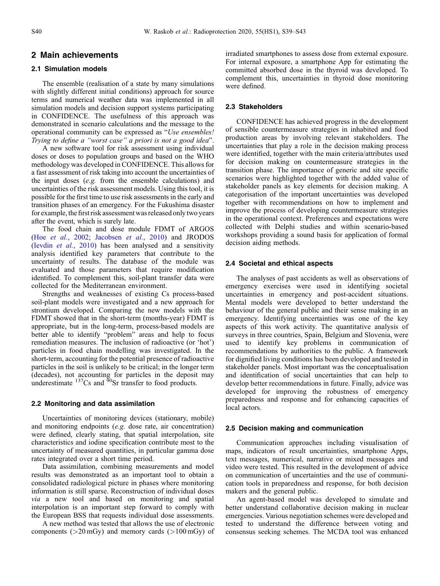# 2 Main achievements

## 2.1 Simulation models

The ensemble (realisation of a state by many simulations with slightly different initial conditions) approach for source terms and numerical weather data was implemented in all simulation models and decision support systems participating in CONFIDENCE. The usefulness of this approach was demonstrated in scenario calculations and the message to the operational community can be expressed as "Use ensembles! Trying to define a "worst case" a priori is not a good idea".

A new software tool for risk assessment using individual doses or doses to population groups and based on the WHO methodology was developed in CONFIDENCE. This allows for a fast assessment of risk taking into account the uncertainties of the input doses (e.g. from the ensemble calculations) and uncertainties of the risk assessment models. Using this tool, it is possible for the first time to use risk assessments in the early and transition phases of an emergency. For the Fukushima disaster for example, the first risk assessment was released only two years after the event, which is surely late.

The food chain and dose module FDMT of ARGOS (Hoe et al.[, 2002](#page-3-0); [Jacobsen](#page-3-0) et al., 2010) and JRODOS (Ievdin et al.[, 2010](#page-4-0)) has been analysed and a sensitivity analysis identified key parameters that contribute to the uncertainty of results. The database of the module was evaluated and those parameters that require modification identified. To complement this, soil-plant transfer data were collected for the Mediterranean environment.

Strengths and weaknesses of existing Cs process-based soil-plant models were investigated and a new approach for strontium developed. Comparing the new models with the FDMT showed that in the short-term (months-year) FDMT is appropriate, but in the long-term, process-based models are better able to identify "problem" areas and help to focus remediation measures. The inclusion of radioactive (or 'hot') particles in food chain modelling was investigated. In the short-term, accounting for the potential presence of radioactive particles in the soil is unlikely to be critical; in the longer term (decades), not accounting for particles in the deposit may underestimate  $137$ Cs and  $90$ Sr transfer to food products.

#### 2.2 Monitoring and data assimilation

Uncertainties of monitoring devices (stationary, mobile) and monitoring endpoints (e.g. dose rate, air concentration) were defined, clearly stating, that spatial interpolation, site characteristics and iodine specification contribute most to the uncertainty of measured quantities, in particular gamma dose rates integrated over a short time period.

Data assimilation, combining measurements and model results was demonstrated as an important tool to obtain a consolidated radiological picture in phases where monitoring information is still sparse. Reconstruction of individual doses via a new tool and based on monitoring and spatial interpolation is an important step forward to comply with the European BSS that requests individual dose assessments.

A new method was tested that allows the use of electronic components ( $>20 \text{ mGy}$ ) and memory cards ( $>100 \text{ mGy}$ ) of irradiated smartphones to assess dose from external exposure. For internal exposure, a smartphone App for estimating the committed absorbed dose in the thyroid was developed. To complement this, uncertainties in thyroid dose monitoring were defined.

#### 2.3 Stakeholders

CONFIDENCE has achieved progress in the development of sensible countermeasure strategies in inhabited and food production areas by involving relevant stakeholders. The uncertainties that play a role in the decision making process were identified, together with the main criteria/attributes used for decision making on countermeasure strategies in the transition phase. The importance of generic and site specific scenarios were highlighted together with the added value of stakeholder panels as key elements for decision making. A categorisation of the important uncertainties was developed together with recommendations on how to implement and improve the process of developing countermeasure strategies in the operational context. Preferences and expectations were collected with Delphi studies and within scenario-based workshops providing a sound basis for application of formal decision aiding methods.

#### 2.4 Societal and ethical aspects

The analyses of past accidents as well as observations of emergency exercises were used in identifying societal uncertainties in emergency and post-accident situations. Mental models were developed to better understand the behaviour of the general public and their sense making in an emergency. Identifying uncertainties was one of the key aspects of this work activity. The quantitative analysis of surveys in three countries, Spain, Belgium and Slovenia, were used to identify key problems in communication of recommendations by authorities to the public. A framework for dignified living conditions has been developed and tested in stakeholder panels. Most important was the conceptualisation and identification of social uncertainties that can help to develop better recommendations in future. Finally, advice was developed for improving the robustness of emergency preparedness and response and for enhancing capacities of local actors.

#### 2.5 Decision making and communication

Communication approaches including visualisation of maps, indicators of result uncertainties, smartphone Apps, text messages, numerical, narrative or mixed messages and video were tested. This resulted in the development of advice on communication of uncertainties and the use of communication tools in preparedness and response, for both decision makers and the general public.

An agent-based model was developed to simulate and better understand collaborative decision making in nuclear emergencies. Various negotiation schemes were developed and tested to understand the difference between voting and consensus seeking schemes. The MCDA tool was enhanced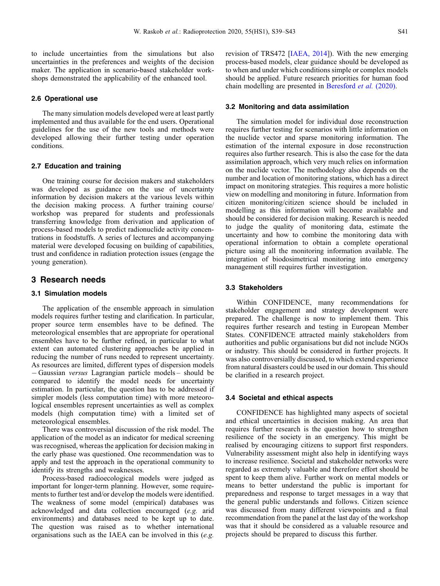<span id="page-2-0"></span>to include uncertainties from the simulations but also uncertainties in the preferences and weights of the decision maker. The application in scenario-based stakeholder workshops demonstrated the applicability of the enhanced tool.

#### 2.6 Operational use

The many simulation models developed were at least partly implemented and thus available for the end users. Operational guidelines for the use of the new tools and methods were developed allowing their further testing under operation conditions.

#### 2.7 Education and training

One training course for decision makers and stakeholders was developed as guidance on the use of uncertainty information by decision makers at the various levels within the decision making process. A further training course/ workshop was prepared for students and professionals transferring knowledge from derivation and application of process-based models to predict radionuclide activity concentrations in foodstuffs. A series of lectures and accompanying material were developed focusing on building of capabilities, trust and confidence in radiation protection issues (engage the young generation).

# 3 Research needs

#### 3.1 Simulation models

The application of the ensemble approach in simulation models requires further testing and clarification. In particular, proper source term ensembles have to be defined. The meteorological ensembles that are appropriate for operational ensembles have to be further refined, in particular to what extent can automated clustering approaches be applied in reducing the number of runs needed to represent uncertainty. As resources are limited, different types of dispersion models  $-Gaussian \ versus \ Lagrangian \ particle \ models - should be$ compared to identify the model needs for uncertainty estimation. In particular, the question has to be addressed if simpler models (less computation time) with more meteorological ensembles represent uncertainties as well as complex models (high computation time) with a limited set of meteorological ensembles.

There was controversial discussion of the risk model. The application of the model as an indicator for medical screening was recognised, whereas the application for decision making in the early phase was questioned. One recommendation was to apply and test the approach in the operational community to identify its strengths and weaknesses.

Process-based radioecological models were judged as important for longer-term planning. However, some requirements to further test and/or develop the models were identified. The weakness of some model (empirical) databases was acknowledged and data collection encouraged (e.g. arid environments) and databases need to be kept up to date. The question was raised as to whether international organisations such as the IAEA can be involved in this (e.g.

revision of TRS472 [\[IAEA, 2014](#page-3-0)]). With the new emerging process-based models, clear guidance should be developed as to when and under which conditions simple or complex models should be applied. Future research priorities for human food chain modelling are presented in [Beresford](#page-3-0) et al. (2020).

#### 3.2 Monitoring and data assimilation

The simulation model for individual dose reconstruction requires further testing for scenarios with little information on the nuclide vector and sparse monitoring information. The estimation of the internal exposure in dose reconstruction requires also further research. This is also the case for the data assimilation approach, which very much relies on information on the nuclide vector. The methodology also depends on the number and location of monitoring stations, which has a direct impact on monitoring strategies. This requires a more holistic view on modelling and monitoring in future. Information from citizen monitoring/citizen science should be included in modelling as this information will become available and should be considered for decision making. Research is needed to judge the quality of monitoring data, estimate the uncertainty and how to combine the monitoring data with operational information to obtain a complete operational picture using all the monitoring information available. The integration of biodosimetrical monitoring into emergency management still requires further investigation.

#### 3.3 Stakeholders

Within CONFIDENCE, many recommendations for stakeholder engagement and strategy development were prepared. The challenge is now to implement them. This requires further research and testing in European Member States. CONFIDENCE attracted mainly stakeholders from authorities and public organisations but did not include NGOs or industry. This should be considered in further projects. It was also controversially discussed, to which extend experience from natural disasters could be used in our domain. This should be clarified in a research project.

#### 3.4 Societal and ethical aspects

CONFIDENCE has highlighted many aspects of societal and ethical uncertainties in decision making. An area that requires further research is the question how to strengthen resilience of the society in an emergency. This might be realised by encouraging citizens to support first responders. Vulnerability assessment might also help in identifying ways to increase resilience. Societal and stakeholder networks were regarded as extremely valuable and therefore effort should be spent to keep them alive. Further work on mental models or means to better understand the public is important for preparedness and response to target messages in a way that the general public understands and follows. Citizen science was discussed from many different viewpoints and a final recommendation from the panel at the last day of the workshop was that it should be considered as a valuable resource and projects should be prepared to discuss this further.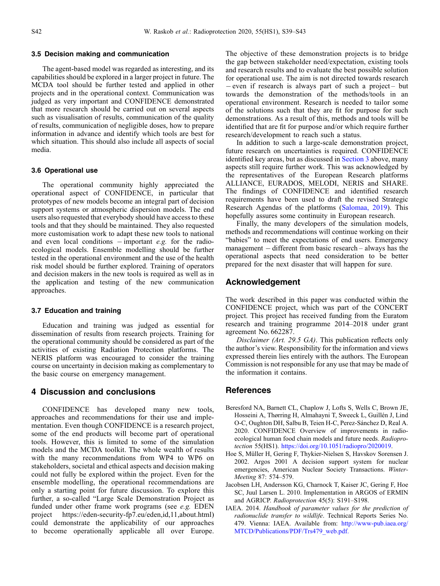#### <span id="page-3-0"></span>3.5 Decision making and communication

The agent-based model was regarded as interesting, and its capabilities should be explored in a larger project in future. The MCDA tool should be further tested and applied in other projects and in the operational context. Communication was judged as very important and CONFIDENCE demonstrated that more research should be carried out on several aspects such as visualisation of results, communication of the quality of results, communication of negligible doses, how to prepare information in advance and identify which tools are best for which situation. This should also include all aspects of social media.

#### 3.6 Operational use

The operational community highly appreciated the operational aspect of CONFIDENCE, in particular that prototypes of new models become an integral part of decision support systems or atmospheric dispersion models. The end users also requested that everybody should have access to these tools and that they should be maintained. They also requested more customisation work to adapt these new tools to national and even local conditions  $-$  important e.g. for the radioecological models. Ensemble modelling should be further tested in the operational environment and the use of the health risk model should be further explored. Training of operators and decision makers in the new tools is required as well as in the application and testing of the new communication approaches.

## 3.7 Education and training

Education and training was judged as essential for dissemination of results from research projects. Training for the operational community should be considered as part of the activities of existing Radiation Protection platforms. The NERIS platform was encouraged to consider the training course on uncertainty in decision making as complementary to the basic course on emergency management.

# 4 Discussion and conclusions

CONFIDENCE has developed many new tools, approaches and recommendations for their use and implementation. Even though CONFIDENCE is a research project, some of the end products will become part of operational tools. However, this is limited to some of the simulation models and the MCDA toolkit. The whole wealth of results with the many recommendations from WP4 to WP6 on stakeholders, societal and ethical aspects and decision making could not fully be explored within the project. Even for the ensemble modelling, the operational recommendations are only a starting point for future discussion. To explore this further, a so-called "Large Scale Demonstration Project as funded under other frame work programs (see e.g. EDEN project https://eden-security-fp7.eu/eden,id,11,about.html) could demonstrate the applicability of our approaches to become operationally applicable all over Europe. The objective of these demonstration projects is to bridge the gap between stakeholder need/expectation, existing tools and research results and to evaluate the best possible solution for operational use. The aim is not directed towards research  $-$  even if research is always part of such a project – but towards the demonstration of the methods/tools in an operational environment. Research is needed to tailor some of the solutions such that they are fit for purpose for such demonstrations. As a result of this, methods and tools will be identified that are fit for purpose and/or which require further research/development to reach such a status.

In addition to such a large-scale demonstration project, future research on uncertainties is required. CONFIDENCE identified key areas, but as discussed in [Section 3](#page-2-0) above, many aspects still require further work. This was acknowledged by the representatives of the European Research platforms ALLIANCE, EURADOS, MELODI, NERIS and SHARE. The findings of CONFIDENCE and identified research requirements have been used to draft the revised Strategic Research Agendas of the platforms ([Salomaa, 2019](#page-4-0)). This hopefully assures some continuity in European research.

Finally, the many developers of the simulation models, methods and recommendations will continue working on their "babies" to meet the expectations of end users. Emergency  $m$ anagement – different from basic research – always has the operational aspects that need consideration to be better prepared for the next disaster that will happen for sure.

## Acknowledgement

The work described in this paper was conducted within the CONFIDENCE project, which was part of the CONCERT project. This project has received funding from the Euratom research and training programme 2014–2018 under grant agreement No. 662287.

Disclaimer (Art. 29.5 GA). This publication reflects only the author's view. Responsibility for the information and views expressed therein lies entirely with the authors. The European Commission is not responsible for any use that may be made of the information it contains.

## References

- Beresford NA, Barnett CL, Chaplow J, Lofts S, Wells C, Brown JE, Hosseini A, Thørring H, Almahayni T, Sweeck L, Guillén J, Lind O-C, Oughton DH, Salbu B, Teien H-C, Perez-Sánchez D, Real A. 2020. CONFIDENCE Overview of improvements in radioecological human food chain models and future needs. Radioprotection 55(HS1). [https://doi.org/10.1051/radiopro/2020019.](https://doi.org/10.1051/radiopro/2020019)
- Hoe S, Müller H, Gering F, Thykier-Nielsen S, Havskov Sorensen J. 2002. Argos 2001 A decision support system for nuclear emergencies, American Nuclear Society Transactions. Winter-Meeting 87: 574–579.
- Jacobsen LH, Andersson KG, Charnock T, Kaiser JC, Gering F, Hoe SC, Juul Larsen L. 2010. Implementation in ARGOS of ERMIN and AGRICP. Radioprotection 45(5): S191–S198.
- IAEA. 2014. Handbook of parameter values for the prediction of radionuclide transfer to wildlife. Technical Reports Series No. 479. Vienna: IAEA. Available from: [http://www-pub.iaea.org/](http://www-pub.iaea.org/MTCD/Publications/PDF/Trs479_web.pdf.) [MTCD/Publications/PDF/Trs479\\_web.pdf.](http://www-pub.iaea.org/MTCD/Publications/PDF/Trs479_web.pdf.)